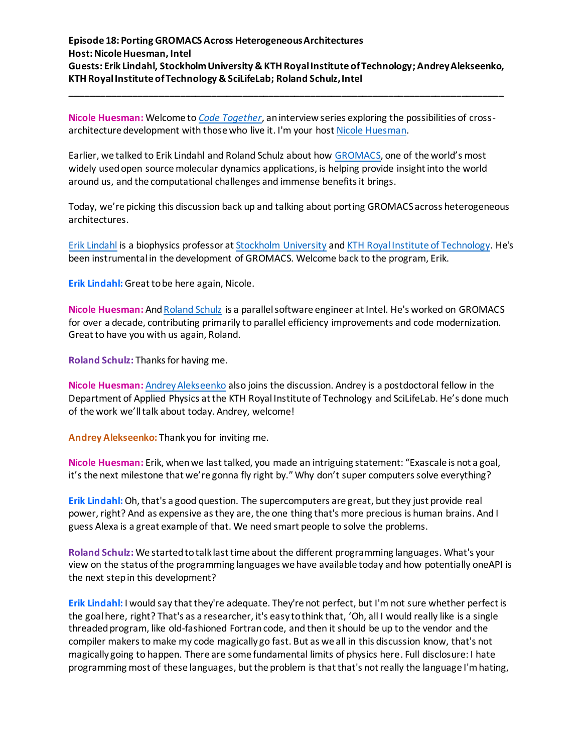**\_\_\_\_\_\_\_\_\_\_\_\_\_\_\_\_\_\_\_\_\_\_\_\_\_\_\_\_\_\_\_\_\_\_\_\_\_\_\_\_\_\_\_\_\_\_\_\_\_\_\_\_\_\_\_\_\_\_\_\_\_\_\_\_\_\_\_\_\_\_\_\_\_\_\_\_\_\_\_\_\_\_\_**

**Nicole Huesman:** Welcome to *[Code Together](https://connectedsocialmedia.com/category/code-together/)*, an interview series exploring the possibilities of crossarchitecture development with those who live it. I'm your host [Nicole Huesman.](https://www.linkedin.com/in/nicolehuesman/)

Earlier, we talked to Erik Lindahl and Roland Schulz about how [GROMACS,](http://www.gromacs.org/About_Gromacs) one of the world's most widely used open source molecular dynamics applications, is helping provide insight into the world around us, and the computational challenges and immense benefits it brings.

Today, we're picking this discussion back up and talking about porting GROMACS across heterogeneous architectures.

[Erik Lindahl](https://www.biophysics.se/index.php/members/erik-lindahl/) is a biophysics professor a[t Stockholm University](https://www.linkedin.com/school/stockholm-university/) an[d KTH Royal Institute of Technology.](https://www.linkedin.com/school/kth/) He's been instrumental in the development of GROMACS. Welcome back to the program, Erik.

**Erik Lindahl:** Great to be here again, Nicole.

**Nicole Huesman:** An[d Roland Schulz](https://www.linkedin.com/in/rolandschulz/) is a parallel software engineer at Intel. He's worked on GROMACS for over a decade, contributing primarily to parallel efficiency improvements and code modernization. Great to have you with us again, Roland.

**Roland Schulz:** Thanks for having me.

**Nicole Huesman:** [Andrey Alekseenko](https://www.biophysics.se/index.php/members/andrey-alekseenko/) also joins the discussion. Andrey is a postdoctoral fellow in the Department of Applied Physics at the KTH Royal Institute of Technology and SciLifeLab. He's done much of the work we'll talk about today. Andrey, welcome!

**Andrey Alekseenko:** Thank you for inviting me.

**Nicole Huesman:** Erik, when we last talked, you made an intriguing statement: "Exascale is not a goal, it's the next milestone that we're gonna fly right by." Why don't super computers solve everything?

**Erik Lindahl:** Oh, that's a good question. The supercomputers are great, but they just provide real power, right? And as expensive as they are, the one thing that's more precious is human brains. And I guess Alexa is a great example of that. We need smart people to solve the problems.

**Roland Schulz:** We started to talk last time about the different programming languages. What's your view on the status of the programming languages we have available today and how potentially oneAPI is the next step in this development?

**Erik Lindahl:** I would say that they're adequate. They're not perfect, but I'm not sure whether perfect is the goal here, right? That's as a researcher, it's easy to think that, 'Oh, all I would really like is a single threaded program, like old-fashioned Fortran code, and then it should be up to the vendor and the compiler makers to make my code magically go fast. But as we all in this discussion know, that's not magically going to happen. There are some fundamental limits of physics here. Full disclosure: I hate programming most of these languages, but the problem is that that's not really the language I'm hating,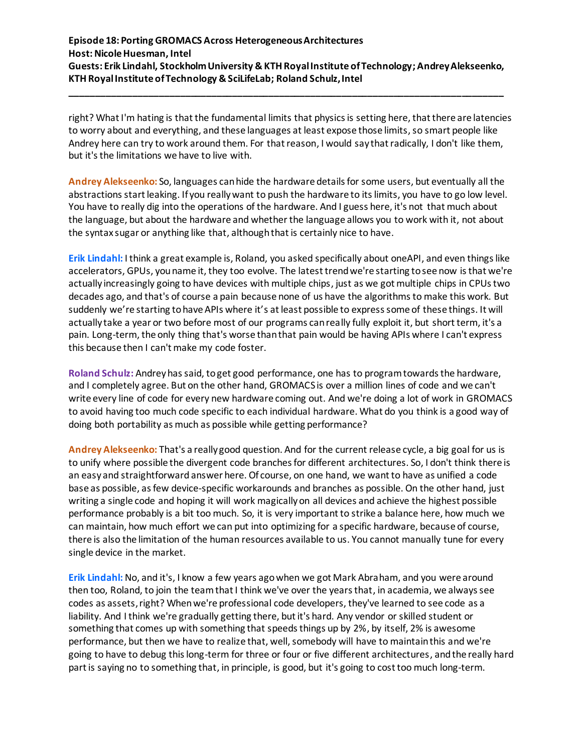**\_\_\_\_\_\_\_\_\_\_\_\_\_\_\_\_\_\_\_\_\_\_\_\_\_\_\_\_\_\_\_\_\_\_\_\_\_\_\_\_\_\_\_\_\_\_\_\_\_\_\_\_\_\_\_\_\_\_\_\_\_\_\_\_\_\_\_\_\_\_\_\_\_\_\_\_\_\_\_\_\_\_\_**

right? What I'm hating is that the fundamental limits that physics is setting here, that there are latencies to worry about and everything, and these languages at least expose those limits, so smart people like Andrey here can try to work around them. For that reason, I would say that radically, I don't like them, but it's the limitations we have to live with.

**Andrey Alekseenko:** So, languages can hide the hardware details for some users, but eventually all the abstractions start leaking. If you really want to push the hardware to its limits, you have to go low level. You have to really dig into the operations of the hardware. And I guess here, it's not that much about the language, but about the hardware and whether the language allows you to work with it, not about the syntax sugar or anything like that, although that is certainly nice to have.

**Erik Lindahl:** I think a great example is, Roland, you asked specifically about oneAPI, and even things like accelerators, GPUs, you name it, they too evolve. The latest trend we're starting to see now is that we're actually increasingly going to have devices with multiple chips, just as we got multiple chips in CPUs two decades ago, and that's of course a pain because none of us have the algorithms to make this work. But suddenly we're starting to have APIs where it's at least possible to express some of these things. It will actually take a year or two before most of our programs can really fully exploit it, but short term, it's a pain. Long-term, the only thing that's worse than that pain would be having APIs where I can't express this because then I can't make my code foster.

**Roland Schulz:** Andreyhas said, to get good performance, one has to program towards the hardware, and I completely agree. But on the other hand, GROMACS is over a million lines of code and we can't write every line of code for every new hardware coming out. And we're doing a lot of work in GROMACS to avoid having too much code specific to each individual hardware. What do you think is a good way of doing both portability as much as possible while getting performance?

**Andrey Alekseenko:** That's a really good question. And for the current release cycle, a big goal for us is to unify where possible the divergent code branches for different architectures. So, I don't think there is an easy and straightforward answer here. Of course, on one hand, we want to have as unified a code base as possible, as few device-specific workarounds and branches as possible. On the other hand, just writing a single code and hoping it will work magically on all devices and achieve the highest possible performance probably is a bit too much. So, it is very important to strike a balance here, how much we can maintain, how much effort we can put into optimizing for a specific hardware, because of course, there is also the limitation of the human resources available to us. You cannot manually tune for every single device in the market.

**Erik Lindahl:** No, and it's, I know a few years ago when we got Mark Abraham, and you were around then too, Roland, to join the team that I think we've over the years that, in academia, we always see codes as assets, right? When we're professional code developers, they've learned to see code as a liability. And I think we're gradually getting there, but it's hard. Any vendor or skilled student or something that comes up with something that speeds things up by 2%, by itself, 2% is awesome performance, but then we have to realize that, well, somebody will have to maintain this and we're going to have to debug this long-term for three or four or five different architectures, and the really hard part is saying no to something that, in principle, is good, but it's going to cost too much long-term.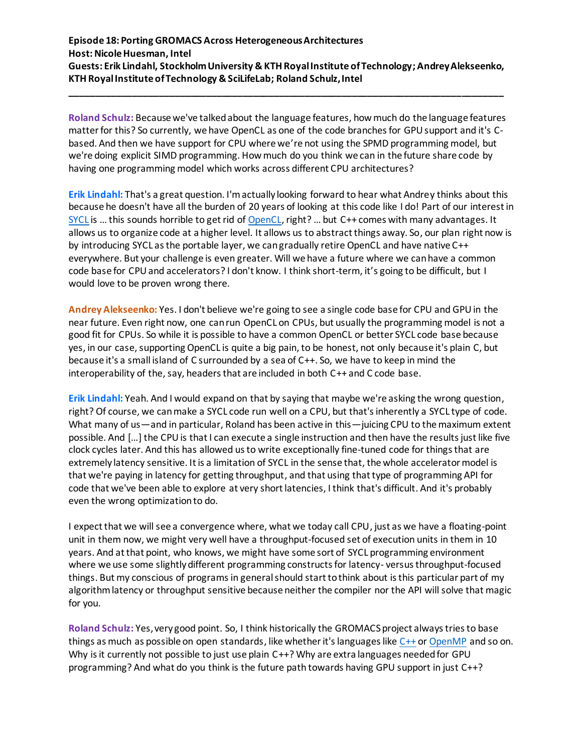**\_\_\_\_\_\_\_\_\_\_\_\_\_\_\_\_\_\_\_\_\_\_\_\_\_\_\_\_\_\_\_\_\_\_\_\_\_\_\_\_\_\_\_\_\_\_\_\_\_\_\_\_\_\_\_\_\_\_\_\_\_\_\_\_\_\_\_\_\_\_\_\_\_\_\_\_\_\_\_\_\_\_\_**

**Roland Schulz:** Because we've talked about the language features, how much do the language features matter for this? So currently, we have OpenCL as one of the code branches for GPU support and it's Cbased. And then we have support for CPU where we're not using the SPMD programming model, but we're doing explicit SIMD programming. How much do you think we can in the future share code by having one programming model which works across different CPU architectures?

**Erik Lindahl:** That's a great question. I'm actually looking forward to hear what Andrey thinks about this because he doesn't have all the burden of 20 years of looking at this code like I do! Part of our interest in [SYCL](https://www.khronos.org/sycl/) is ... this sounds horrible to get rid of [OpenCL,](https://www.khronos.org/opencl/) right? ... but C++ comes with many advantages. It allows us to organize code at a higher level. It allows us to abstract things away. So, our plan right now is by introducing SYCL as the portable layer, we can gradually retire OpenCL and have native C++ everywhere. But your challenge is even greater. Will we have a future where we can have a common code base for CPU and accelerators? I don't know. I think short-term, it's going to be difficult, but I would love to be proven wrong there.

**Andrey Alekseenko:** Yes. I don't believe we're going to see a single code base for CPU and GPU in the near future. Even right now, one can run OpenCL on CPUs, but usually the programming model is not a good fit for CPUs. So while it is possible to have a common OpenCL or better SYCL code base because yes, in our case, supporting OpenCL is quite a big pain, to be honest, not only because it's plain C, but because it's a small island of C surrounded by a sea of C++. So, we have to keep in mind the interoperability of the, say, headers that are included in both  $C++$  and  $C$  code base.

**Erik Lindahl:** Yeah. And I would expand on that by saying that maybe we're asking the wrong question, right? Of course, we can make a SYCL code run well on a CPU, but that's inherently a SYCL type of code. What many of us—and in particular, Roland has been active in this—juicing CPU to the maximum extent possible. And […] the CPU is that I can execute a single instruction and then have the results just like five clock cycles later. And this has allowed us to write exceptionally fine-tuned code for things that are extremely latency sensitive. It is a limitation of SYCL in the sense that, the whole accelerator model is that we're paying in latency for getting throughput, and that using that type of programming API for code that we've been able to explore at very short latencies, I think that's difficult. And it's probably even the wrong optimization to do.

I expect that we will see a convergence where, what we today call CPU, just as we have a floating-point unit in them now, we might very well have a throughput-focused set of execution units in them in 10 years. And at that point, who knows, we might have some sort of SYCL programming environment where we use some slightly different programming constructs for latency- versus throughput-focused things. But my conscious of programs in general should start to think about is this particular part of my algorithm latency or throughput sensitive because neither the compiler nor the API will solve that magic for you.

Roland Schulz: Yes, very good point. So, I think historically the GROMACS project always tries to base things as much as possible on open standards, like whether it's languages like [C++](https://isocpp.org/) o[r OpenMP](https://www.openmp.org/) and so on. Why is it currently not possible to just use plain C++? Why are extra languages needed for GPU programming? And what do you think is the future path towards having GPU support in just C++?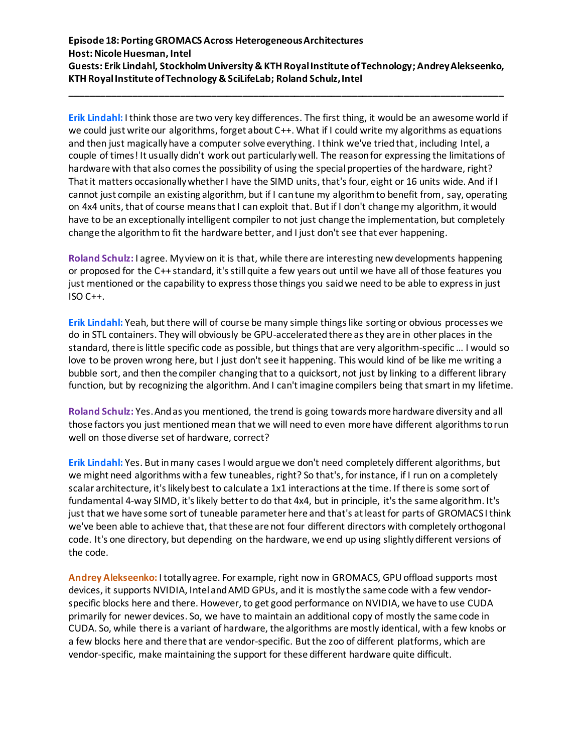**\_\_\_\_\_\_\_\_\_\_\_\_\_\_\_\_\_\_\_\_\_\_\_\_\_\_\_\_\_\_\_\_\_\_\_\_\_\_\_\_\_\_\_\_\_\_\_\_\_\_\_\_\_\_\_\_\_\_\_\_\_\_\_\_\_\_\_\_\_\_\_\_\_\_\_\_\_\_\_\_\_\_\_**

**Erik Lindahl:** I think those are two very key differences. The first thing, it would be an awesome world if we could just write our algorithms, forget about C++. What if I could write my algorithms as equations and then just magically have a computer solve everything. I think we've tried that, including Intel, a couple of times! It usually didn't work out particularly well. The reason for expressing the limitations of hardware with that also comes the possibility of using the special properties of the hardware, right? That it matters occasionally whether I have the SIMD units, that'sfour, eight or 16 units wide. And if I cannot just compile an existing algorithm, but if I can tune my algorithm to benefit from, say, operating on 4x4 units, that of course means that I can exploit that. But if I don't change my algorithm, it would have to be an exceptionally intelligent compiler to not just change the implementation, but completely change the algorithm to fit the hardware better, and I just don't see that ever happening.

**Roland Schulz:** I agree. My view on it is that, while there are interesting new developments happening or proposed for the C++ standard, it's still quite a few years out until we have all of those features you just mentioned or the capability to express those things you said we need to be able to express in just ISO C++.

**Erik Lindahl:** Yeah, but there will of course be many simple things like sorting or obvious processes we do in STL containers. They will obviously be GPU-accelerated there as they are in other places in the standard, there is little specific code as possible, but things that are very algorithm-specific… I would so love to be proven wrong here, but I just don't see it happening. This would kind of be like me writing a bubble sort, and then the compiler changing that to a quicksort, not just by linking to a different library function, but by recognizing the algorithm. And I can't imagine compilers being that smart in my lifetime.

**Roland Schulz:** Yes. And as you mentioned, the trend is going towards more hardware diversity and all those factors you just mentioned mean that we will need to even more have different algorithms to run well on those diverse set of hardware, correct?

**Erik Lindahl:** Yes. But in many cases I would argue we don't need completely different algorithms, but we might need algorithms with a few tuneables, right? So that's, for instance, if I run on a completely scalar architecture, it's likely best to calculate a 1x1 interactions at the time. If there is some sort of fundamental 4-way SIMD, it's likely better to do that 4x4, but in principle, it's the same algorithm. It's just that we have some sort of tuneable parameter here and that's at least for parts of GROMACS I think we've been able to achieve that, that these are not four different directors with completely orthogonal code. It's one directory, but depending on the hardware, we end up using slightly different versions of the code.

**Andrey Alekseenko:** I totally agree. For example, right now in GROMACS, GPU offload supports most devices, it supports NVIDIA, Intel and AMD GPUs, and it is mostly the same code with a few vendorspecific blocks here and there. However, to get good performance on NVIDIA, we have to use CUDA primarily for newer devices. So, we have to maintain an additional copy of mostly the same code in CUDA. So, while there is a variant of hardware, the algorithms are mostly identical, with a few knobs or a few blocks here and there that are vendor-specific. But the zoo of different platforms, which are vendor-specific, make maintaining the support for these different hardware quite difficult.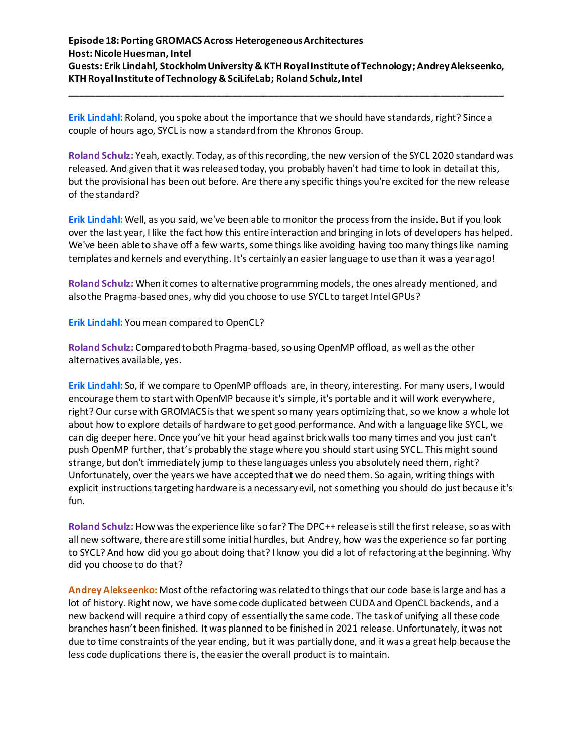**\_\_\_\_\_\_\_\_\_\_\_\_\_\_\_\_\_\_\_\_\_\_\_\_\_\_\_\_\_\_\_\_\_\_\_\_\_\_\_\_\_\_\_\_\_\_\_\_\_\_\_\_\_\_\_\_\_\_\_\_\_\_\_\_\_\_\_\_\_\_\_\_\_\_\_\_\_\_\_\_\_\_\_**

**Erik Lindahl:** Roland, you spoke about the importance that we should have standards, right? Since a couple of hours ago, SYCL is now a standard from the Khronos Group.

**Roland Schulz:** Yeah, exactly. Today, as of thisrecording, the new version of the SYCL 2020 standard was released. And given that it was released today, you probably haven't had time to look in detail at this, but the provisional has been out before. Are there any specific things you're excited for the new release of the standard?

**Erik Lindahl:** Well, as you said, we've been able to monitor the process from the inside. But if you look over the last year, I like the fact how this entire interaction and bringing in lots of developers has helped. We've been able to shave off a few warts, some things like avoiding having too many things like naming templates and kernels and everything. It's certainly an easier language to use than it was a year ago!

**Roland Schulz:** When it comes to alternative programming models, the ones already mentioned, and also the Pragma-based ones, why did you choose to use SYCL to target Intel GPUs?

**Erik Lindahl:** You mean compared to OpenCL?

**Roland Schulz:** Compared to both Pragma-based, so using OpenMP offload, as well as the other alternatives available, yes.

**Erik Lindahl:** So, if we compare to OpenMP offloads are, in theory, interesting. For many users, I would encourage them to start with OpenMP because it's simple, it's portable and it will work everywhere, right? Our curse with GROMACS is that we spent so many years optimizing that, so we know a whole lot about how to explore details of hardware to get good performance. And with a language like SYCL, we can dig deeper here. Once you've hit your head against brick walls too many times and you just can't push OpenMP further, that's probably the stage where you should start using SYCL. This might sound strange, but don't immediately jump to these languages unless you absolutely need them, right? Unfortunately, over the years we have accepted that we do need them. So again, writing things with explicit instructions targeting hardware is a necessary evil, not something you should do just because it's fun.

**Roland Schulz:** How was the experience like so far? The DPC++ release is still the first release, so as with all new software, there are still some initial hurdles, but Andrey, how was the experience so far porting to SYCL? And how did you go about doing that? I know you did a lot of refactoring at the beginning. Why did you choose to do that?

**Andrey Alekseenko:** Most ofthe refactoring was related to things that our code base is large and has a lot of history. Right now, we have some code duplicated between CUDA and OpenCL backends, and a new backend will require a third copy of essentially the same code. The task of unifying all these code branches hasn't been finished. It was planned to be finished in 2021 release. Unfortunately, it was not due to time constraints of the year ending, but it was partially done, and it was a great help because the less code duplications there is, the easier the overall product is to maintain.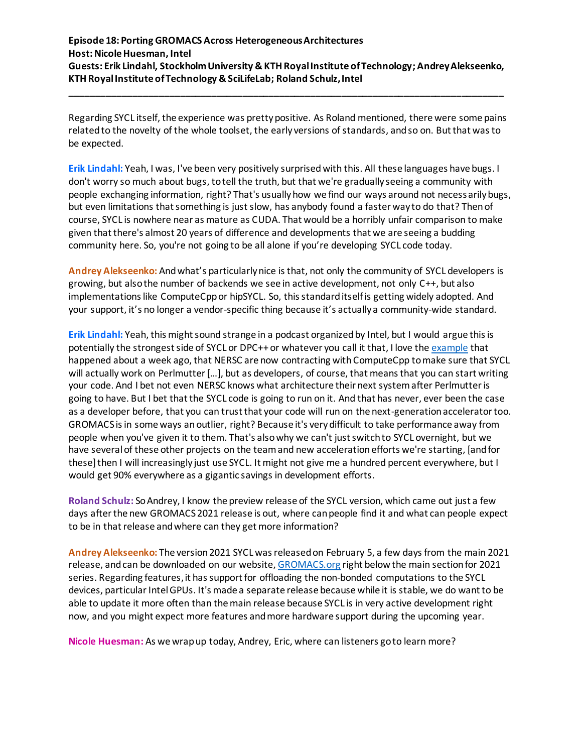**\_\_\_\_\_\_\_\_\_\_\_\_\_\_\_\_\_\_\_\_\_\_\_\_\_\_\_\_\_\_\_\_\_\_\_\_\_\_\_\_\_\_\_\_\_\_\_\_\_\_\_\_\_\_\_\_\_\_\_\_\_\_\_\_\_\_\_\_\_\_\_\_\_\_\_\_\_\_\_\_\_\_\_**

Regarding SYCL itself, the experience was pretty positive. As Roland mentioned, there were some pains related to the novelty of the whole toolset, the early versions of standards, and so on. But that was to be expected.

**Erik Lindahl:** Yeah, I was, I've been very positively surprisedwith this. All these languages have bugs. I don't worry so much about bugs, to tell the truth, but that we're gradually seeing a community with people exchanging information, right? That's usually how we find our ways around not necessarily bugs, but even limitations that something is just slow, has anybody found a faster way to do that? Then of course, SYCL is nowhere near as mature as CUDA. That would be a horribly unfair comparison to make given that there's almost 20 years of difference and developments that we are seeing a budding community here. So, you're not going to be all alone if you're developing SYCL code today.

**Andrey Alekseenko:** And what's particularly nice is that, not only the community of SYCL developers is growing, but also the number of backends we see in active development, not only C++, but also implementations like ComputeCpp or hipSYCL. So, this standard itself is getting widely adopted. And your support, it's no longer a vendor-specific thing because it's actually a community-wide standard.

**Erik Lindahl:** Yeah, this might sound strange in a podcast organized by Intel, but I would argue this is potentially the strongest side of SYCL or DPC++ or whatever you call it that, I love th[e example](https://www.nersc.gov/news-publications/nersc-news/nersc-center-news/2021/nersc-alcf-codeplay-partner-on-sycl-for-next-generation-supercomputers/) that happened about a week ago, that NERSC are now contracting with ComputeCpp to make sure that SYCL will actually work on Perlmutter [...], but as developers, of course, that means that you can start writing your code. And I bet not even NERSC knows what architecture their next system after Perlmutter is going to have. But I bet that the SYCL code is going to run on it. And that has never, ever been the case as a developer before, that you can trust that your code will run on the next-generation accelerator too. GROMACS is in some ways an outlier, right? Because it's very difficult to take performance away from people when you've given it to them. That's also why we can't just switch to SYCL overnight, but we have several of these other projects on the team and new acceleration efforts we're starting, [and for these] then I will increasingly just use SYCL. It might not give me a hundred percent everywhere, but I would get 90% everywhere as a gigantic savings in development efforts.

**Roland Schulz:** So Andrey, I know the preview release of the SYCL version, which came out just a few days after the new GROMACS2021 release is out, where can people find it and what can people expect to be in that release and where can they get more information?

**Andrey Alekseenko:** The version 2021 SYCL was released on February 5, a few daysfrom the main 2021 release, and can be downloaded on our website[, GROMACS.org](http://www.gromacs.org/About_Gromacs) right below the main section for 2021 series. Regarding features, it has support for offloading the non-bonded computations to the SYCL devices, particular Intel GPUs. It's made a separate release because while it is stable, we do want to be able to update it more often than the main release because SYCL is in very active development right now, and you might expect more features and more hardware support during the upcoming year.

**Nicole Huesman:** As we wrap up today, Andrey, Eric, where can listeners go to learn more?